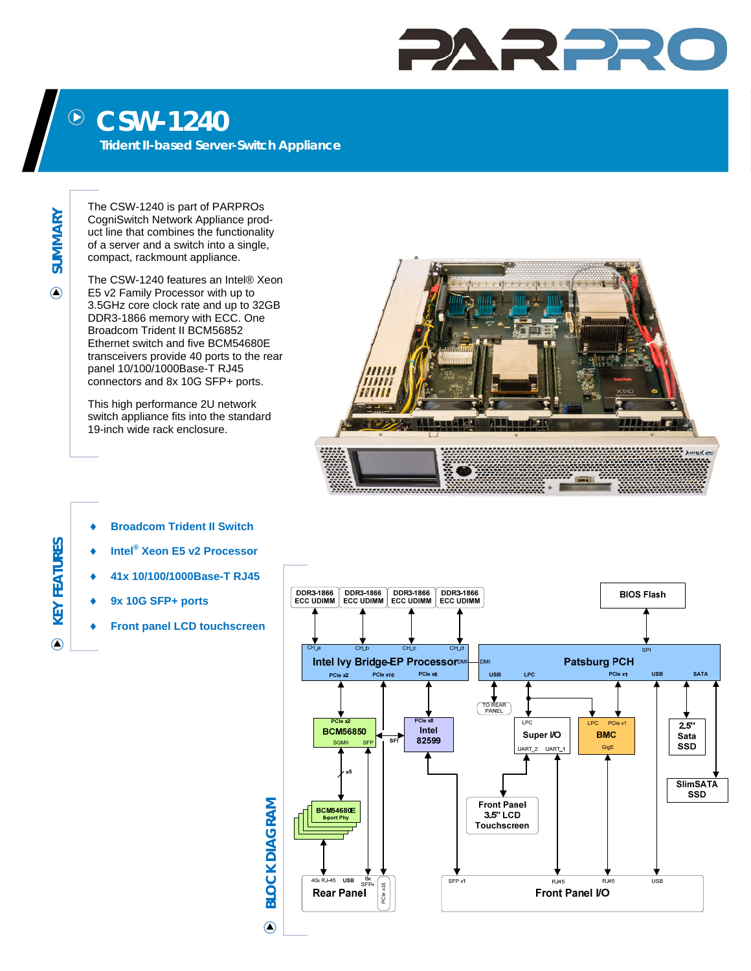## PARPR

## **CSW-1240**   $\bigodot$

**Trident II-based Server-Switch Appliance** 

**SUMMARY**  SUMMARY

 $\bigcirc$ 

The CSW-1240 is part of PARPROs CogniSwitch Network Appliance product line that combines the functionality of a server and a switch into a single, compact, rackmount appliance.

The CSW-1240 features an Intel® Xeon E5 v2 Family Processor with up to 3.5GHz core clock rate and up to 32GB DDR3-1866 memory with ECC. One Broadcom Trident II BCM56852 Ethernet switch and five BCM54680E transceivers provide 40 ports to the rear panel 10/100/1000Base-T RJ45 connectors and 8x 10G SFP+ ports.

This high performance 2U network switch appliance fits into the standard 19-inch wide rack enclosure.



- **Broadcom Trident II Switch**
- ◆ Intel<sup>®</sup> Xeon E5 v2 Processor
- **41x 10/100/1000Base-T RJ45**
- **9x 10G SFP+ ports**
- **Front panel LCD touchscreen**



**KEY FEATURES KEY FEATURES**  $\odot$